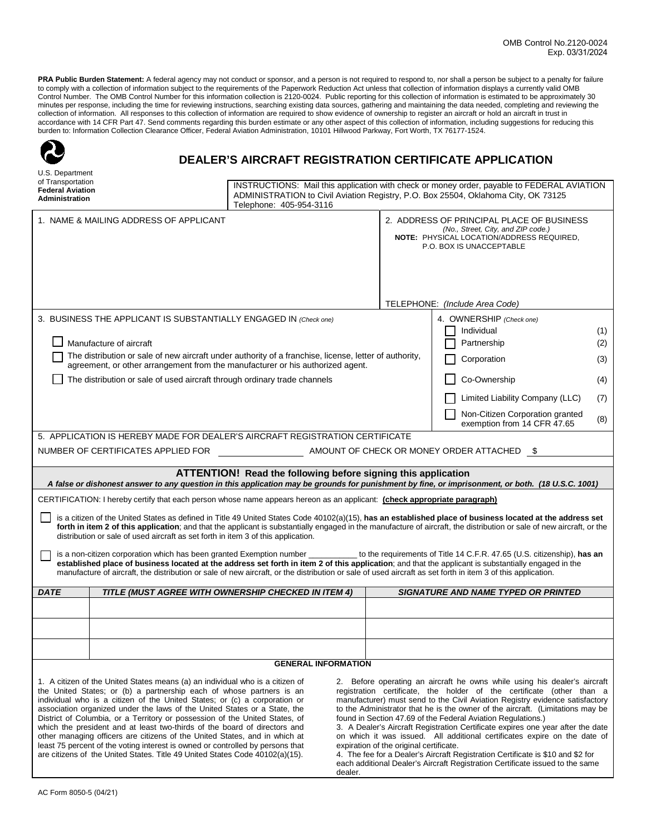**PRA Public Burden Statement:** A federal agency may not conduct or sponsor, and a person is not required to respond to, nor shall a person be subject to a penalty for failure<br>to comply with a collection of information subj Control Number. The OMB Control Number for this information collection is 2120-0024. Public reporting for this collection of information is estimated to be approximately 30 minutes per response, including the time for reviewing instructions, searching existing data sources, gathering and maintaining the data needed, completing and reviewing the collection of information. All responses to this collection of information are required to show evidence of ownership to register an aircraft or hold an aircraft in trust in accordance with 14 CFR Part 47. Send comments regarding this burden estimate or any other aspect of this collection of information, including suggestions for reducing this burden to: Information Collection Clearance Officer, Federal Aviation Administration, 10101 Hillwood Parkway, Fort Worth, TX 76177-1524.

| U.S. Department                                                                                                                                                                                                                                                                                                                                                                                                                                                                                                                                                                                                                                                                                                                                                                                                                                   |                                                                                                                                                                                                             |  |  |                                                                                                                                                          |                                                                                                                                                                                                                                                                                                                                                                                                                                                                                                                                                                                                                                                          |            |
|---------------------------------------------------------------------------------------------------------------------------------------------------------------------------------------------------------------------------------------------------------------------------------------------------------------------------------------------------------------------------------------------------------------------------------------------------------------------------------------------------------------------------------------------------------------------------------------------------------------------------------------------------------------------------------------------------------------------------------------------------------------------------------------------------------------------------------------------------|-------------------------------------------------------------------------------------------------------------------------------------------------------------------------------------------------------------|--|--|----------------------------------------------------------------------------------------------------------------------------------------------------------|----------------------------------------------------------------------------------------------------------------------------------------------------------------------------------------------------------------------------------------------------------------------------------------------------------------------------------------------------------------------------------------------------------------------------------------------------------------------------------------------------------------------------------------------------------------------------------------------------------------------------------------------------------|------------|
| of Transportation<br><b>Federal Aviation</b><br>Administration                                                                                                                                                                                                                                                                                                                                                                                                                                                                                                                                                                                                                                                                                                                                                                                    | INSTRUCTIONS: Mail this application with check or money order, payable to FEDERAL AVIATION<br>ADMINISTRATION to Civil Aviation Registry, P.O. Box 25504, Oklahoma City, OK 73125<br>Telephone: 405-954-3116 |  |  |                                                                                                                                                          |                                                                                                                                                                                                                                                                                                                                                                                                                                                                                                                                                                                                                                                          |            |
|                                                                                                                                                                                                                                                                                                                                                                                                                                                                                                                                                                                                                                                                                                                                                                                                                                                   | 1. NAME & MAILING ADDRESS OF APPLICANT                                                                                                                                                                      |  |  | 2. ADDRESS OF PRINCIPAL PLACE OF BUSINESS<br>(No., Street, City, and ZIP code.)<br>NOTE: PHYSICAL LOCATION/ADDRESS REQUIRED,<br>P.O. BOX IS UNACCEPTABLE |                                                                                                                                                                                                                                                                                                                                                                                                                                                                                                                                                                                                                                                          |            |
|                                                                                                                                                                                                                                                                                                                                                                                                                                                                                                                                                                                                                                                                                                                                                                                                                                                   |                                                                                                                                                                                                             |  |  | TELEPHONE: (Include Area Code)                                                                                                                           |                                                                                                                                                                                                                                                                                                                                                                                                                                                                                                                                                                                                                                                          |            |
| 3. BUSINESS THE APPLICANT IS SUBSTANTIALLY ENGAGED IN (Check one)<br>Manufacture of aircraft                                                                                                                                                                                                                                                                                                                                                                                                                                                                                                                                                                                                                                                                                                                                                      |                                                                                                                                                                                                             |  |  |                                                                                                                                                          | 4. OWNERSHIP (Check one)<br>Individual<br>Partnership                                                                                                                                                                                                                                                                                                                                                                                                                                                                                                                                                                                                    | (1)<br>(2) |
| The distribution or sale of new aircraft under authority of a franchise, license, letter of authority,                                                                                                                                                                                                                                                                                                                                                                                                                                                                                                                                                                                                                                                                                                                                            |                                                                                                                                                                                                             |  |  |                                                                                                                                                          | Corporation                                                                                                                                                                                                                                                                                                                                                                                                                                                                                                                                                                                                                                              | (3)        |
| agreement, or other arrangement from the manufacturer or his authorized agent.<br>The distribution or sale of used aircraft through ordinary trade channels                                                                                                                                                                                                                                                                                                                                                                                                                                                                                                                                                                                                                                                                                       |                                                                                                                                                                                                             |  |  |                                                                                                                                                          | Co-Ownership                                                                                                                                                                                                                                                                                                                                                                                                                                                                                                                                                                                                                                             | (4)        |
|                                                                                                                                                                                                                                                                                                                                                                                                                                                                                                                                                                                                                                                                                                                                                                                                                                                   |                                                                                                                                                                                                             |  |  |                                                                                                                                                          | Limited Liability Company (LLC)                                                                                                                                                                                                                                                                                                                                                                                                                                                                                                                                                                                                                          | (7)        |
|                                                                                                                                                                                                                                                                                                                                                                                                                                                                                                                                                                                                                                                                                                                                                                                                                                                   |                                                                                                                                                                                                             |  |  |                                                                                                                                                          | Non-Citizen Corporation granted                                                                                                                                                                                                                                                                                                                                                                                                                                                                                                                                                                                                                          | (8)        |
| 5. APPLICATION IS HEREBY MADE FOR DEALER'S AIRCRAFT REGISTRATION CERTIFICATE                                                                                                                                                                                                                                                                                                                                                                                                                                                                                                                                                                                                                                                                                                                                                                      |                                                                                                                                                                                                             |  |  |                                                                                                                                                          | exemption from 14 CFR 47.65                                                                                                                                                                                                                                                                                                                                                                                                                                                                                                                                                                                                                              |            |
| NUMBER OF CERTIFICATES APPLIED FOR<br>AMOUNT OF CHECK OR MONEY ORDER ATTACHED \$                                                                                                                                                                                                                                                                                                                                                                                                                                                                                                                                                                                                                                                                                                                                                                  |                                                                                                                                                                                                             |  |  |                                                                                                                                                          |                                                                                                                                                                                                                                                                                                                                                                                                                                                                                                                                                                                                                                                          |            |
|                                                                                                                                                                                                                                                                                                                                                                                                                                                                                                                                                                                                                                                                                                                                                                                                                                                   |                                                                                                                                                                                                             |  |  |                                                                                                                                                          |                                                                                                                                                                                                                                                                                                                                                                                                                                                                                                                                                                                                                                                          |            |
| ATTENTION! Read the following before signing this application<br>A false or dishonest answer to any question in this application may be grounds for punishment by fine, or imprisonment, or both. (18 U.S.C. 1001)                                                                                                                                                                                                                                                                                                                                                                                                                                                                                                                                                                                                                                |                                                                                                                                                                                                             |  |  |                                                                                                                                                          |                                                                                                                                                                                                                                                                                                                                                                                                                                                                                                                                                                                                                                                          |            |
| CERTIFICATION: I hereby certify that each person whose name appears hereon as an applicant: (check appropriate paragraph)                                                                                                                                                                                                                                                                                                                                                                                                                                                                                                                                                                                                                                                                                                                         |                                                                                                                                                                                                             |  |  |                                                                                                                                                          |                                                                                                                                                                                                                                                                                                                                                                                                                                                                                                                                                                                                                                                          |            |
| is a citizen of the United States as defined in Title 49 United States Code 40102(a)(15), has an established place of business located at the address set<br>forth in item 2 of this application; and that the applicant is substantially engaged in the manufacture of aircraft, the distribution or sale of new aircraft, or the<br>distribution or sale of used aircraft as set forth in item 3 of this application.                                                                                                                                                                                                                                                                                                                                                                                                                           |                                                                                                                                                                                                             |  |  |                                                                                                                                                          |                                                                                                                                                                                                                                                                                                                                                                                                                                                                                                                                                                                                                                                          |            |
| is a non-citizen corporation which has been granted Exemption number ____________ to the requirements of Title 14 C.F.R. 47.65 (U.S. citizenship), has an<br>established place of business located at the address set forth in item 2 of this application; and that the applicant is substantially engaged in the<br>manufacture of aircraft, the distribution or sale of new aircraft, or the distribution or sale of used aircraft as set forth in item 3 of this application.                                                                                                                                                                                                                                                                                                                                                                  |                                                                                                                                                                                                             |  |  |                                                                                                                                                          |                                                                                                                                                                                                                                                                                                                                                                                                                                                                                                                                                                                                                                                          |            |
| <b>DATE</b>                                                                                                                                                                                                                                                                                                                                                                                                                                                                                                                                                                                                                                                                                                                                                                                                                                       | TITLE (MUST AGREE WITH OWNERSHIP CHECKED IN ITEM 4)                                                                                                                                                         |  |  |                                                                                                                                                          | <b>SIGNATURE AND NAME TYPED OR PRINTED</b>                                                                                                                                                                                                                                                                                                                                                                                                                                                                                                                                                                                                               |            |
|                                                                                                                                                                                                                                                                                                                                                                                                                                                                                                                                                                                                                                                                                                                                                                                                                                                   |                                                                                                                                                                                                             |  |  |                                                                                                                                                          |                                                                                                                                                                                                                                                                                                                                                                                                                                                                                                                                                                                                                                                          |            |
|                                                                                                                                                                                                                                                                                                                                                                                                                                                                                                                                                                                                                                                                                                                                                                                                                                                   |                                                                                                                                                                                                             |  |  |                                                                                                                                                          |                                                                                                                                                                                                                                                                                                                                                                                                                                                                                                                                                                                                                                                          |            |
|                                                                                                                                                                                                                                                                                                                                                                                                                                                                                                                                                                                                                                                                                                                                                                                                                                                   |                                                                                                                                                                                                             |  |  |                                                                                                                                                          |                                                                                                                                                                                                                                                                                                                                                                                                                                                                                                                                                                                                                                                          |            |
| <b>GENERAL INFORMATION</b>                                                                                                                                                                                                                                                                                                                                                                                                                                                                                                                                                                                                                                                                                                                                                                                                                        |                                                                                                                                                                                                             |  |  |                                                                                                                                                          |                                                                                                                                                                                                                                                                                                                                                                                                                                                                                                                                                                                                                                                          |            |
| 1. A citizen of the United States means (a) an individual who is a citizen of<br>the United States; or (b) a partnership each of whose partners is an<br>individual who is a citizen of the United States; or (c) a corporation or<br>association organized under the laws of the United States or a State, the<br>District of Columbia, or a Territory or possession of the United States, of<br>found in Section 47.69 of the Federal Aviation Regulations.)<br>which the president and at least two-thirds of the board of directors and<br>other managing officers are citizens of the United States, and in which at<br>least 75 percent of the voting interest is owned or controlled by persons that<br>expiration of the original certificate.<br>are citizens of the United States. Title 49 United States Code 40102(a)(15).<br>dealer. |                                                                                                                                                                                                             |  |  |                                                                                                                                                          | 2. Before operating an aircraft he owns while using his dealer's aircraft<br>registration certificate, the holder of the certificate (other than a<br>manufacturer) must send to the Civil Aviation Registry evidence satisfactory<br>to the Administrator that he is the owner of the aircraft. (Limitations may be<br>3. A Dealer's Aircraft Registration Certificate expires one year after the date<br>on which it was issued. All additional certificates expire on the date of<br>4. The fee for a Dealer's Aircraft Registration Certificate is \$10 and \$2 for<br>each additional Dealer's Aircraft Registration Certificate issued to the same |            |